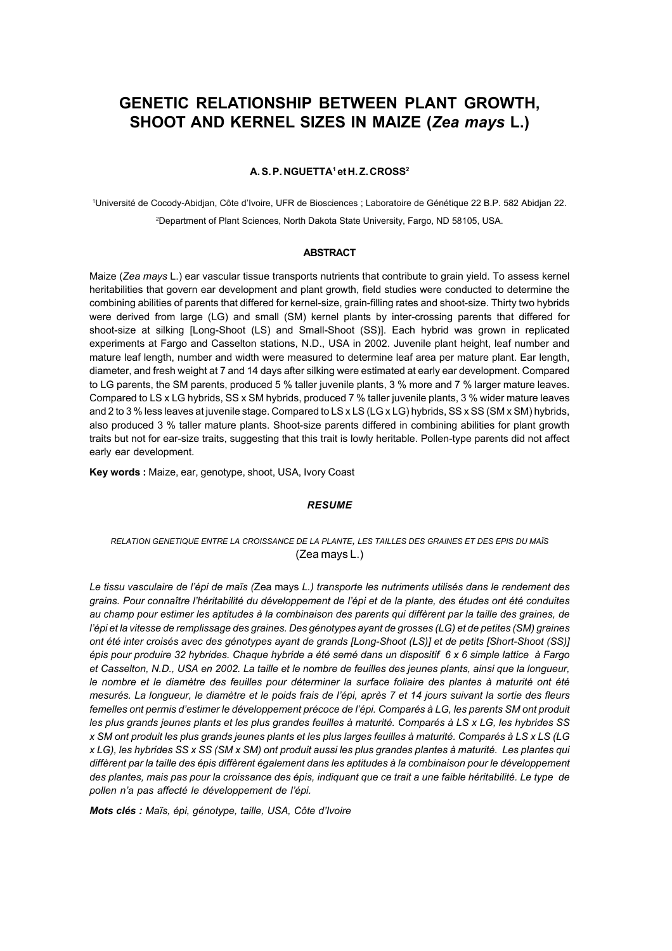# **GENETIC RELATIONSHIP BETWEEN PLANT GROWTH, SHOOT AND KERNEL SIZES IN MAIZE (***Zea mays* **L.)**

#### **A. S. P. NGUETTA1 et H. Z. CROSS2**

1Université de Cocody-Abidjan, Côte d'Ivoire, UFR de Biosciences ; Laboratoire de Génétique 22 B.P. 582 Abidjan 22. 2 Department of Plant Sciences, North Dakota State University, Fargo, ND 58105, USA.

#### **ABSTRACT**

Maize (*Zea mays* L.) ear vascular tissue transports nutrients that contribute to grain yield. To assess kernel heritabilities that govern ear development and plant growth, field studies were conducted to determine the combining abilities of parents that differed for kernel-size, grain-filling rates and shoot-size. Thirty two hybrids were derived from large (LG) and small (SM) kernel plants by inter-crossing parents that differed for shoot-size at silking [Long-Shoot (LS) and Small-Shoot (SS)]. Each hybrid was grown in replicated experiments at Fargo and Casselton stations, N.D., USA in 2002. Juvenile plant height, leaf number and mature leaf length, number and width were measured to determine leaf area per mature plant. Ear length, diameter, and fresh weight at 7 and 14 days after silking were estimated at early ear development. Compared to LG parents, the SM parents, produced 5 % taller juvenile plants, 3 % more and 7 % larger mature leaves. Compared to LS x LG hybrids, SS x SM hybrids, produced 7 % taller juvenile plants, 3 % wider mature leaves and 2 to 3 % less leaves at juvenile stage. Compared to LS x LS (LG x LG) hybrids, SS x SS (SM x SM) hybrids, also produced 3 % taller mature plants. Shoot-size parents differed in combining abilities for plant growth traits but not for ear-size traits, suggesting that this trait is lowly heritable. Pollen-type parents did not affect early ear development.

**Key words :** Maize, ear, genotype, shoot, USA, Ivory Coast

#### *RESUME*

### *RELATION GENETIQUE ENTRE LA CROISSANCE DE LA PLANTE, LES TAILLES DES GRAINES ET DES EPIS DU MAÏS* (Zea mays L.)

*Le tissu vasculaire de l'épi de maïs (*Zea mays *L.) transporte les nutriments utilisés dans le rendement des grains. Pour connaître l'héritabilité du développement de l'épi et de la plante, des études ont été conduites au champ pour estimer les aptitudes à la combinaison des parents qui diffèrent par la taille des graines, de l'épi et la vitesse de remplissage des graines. Des génotypes ayant de grosses (LG) et de petites (SM) graines ont été inter croisés avec des génotypes ayant de grands [Long-Shoot (LS)] et de petits [Short-Shoot (SS)] épis pour produire 32 hybrides. Chaque hybride a été semé dans un dispositif 6 x 6 simple lattice à Fargo et Casselton, N.D., USA en 2002. La taille et le nombre de feuilles des jeunes plants, ainsi que la longueur, le nombre et le diamètre des feuilles pour déterminer la surface foliaire des plantes à maturité ont été mesurés. La longueur, le diamètre et le poids frais de l'épi, après 7 et 14 jours suivant la sortie des fleurs femelles ont permis d'estimer le développement précoce de l'épi. Comparés à LG, les parents SM ont produit les plus grands jeunes plants et les plus grandes feuilles à maturité. Comparés à LS x LG, les hybrides SS x SM ont produit les plus grands jeunes plants et les plus larges feuilles à maturité. Comparés à LS x LS (LG x LG), les hybrides SS x SS (SM x SM) ont produit aussi les plus grandes plantes à maturité. Les plantes qui diffèrent par la taille des épis diffèrent également dans les aptitudes à la combinaison pour le développement des plantes, mais pas pour la croissance des épis, indiquant que ce trait a une faible héritabilité. Le type de pollen n'a pas affecté le développement de l'épi.*

*Mots clés : Maïs, épi, génotype, taille, USA, Côte d'Ivoire*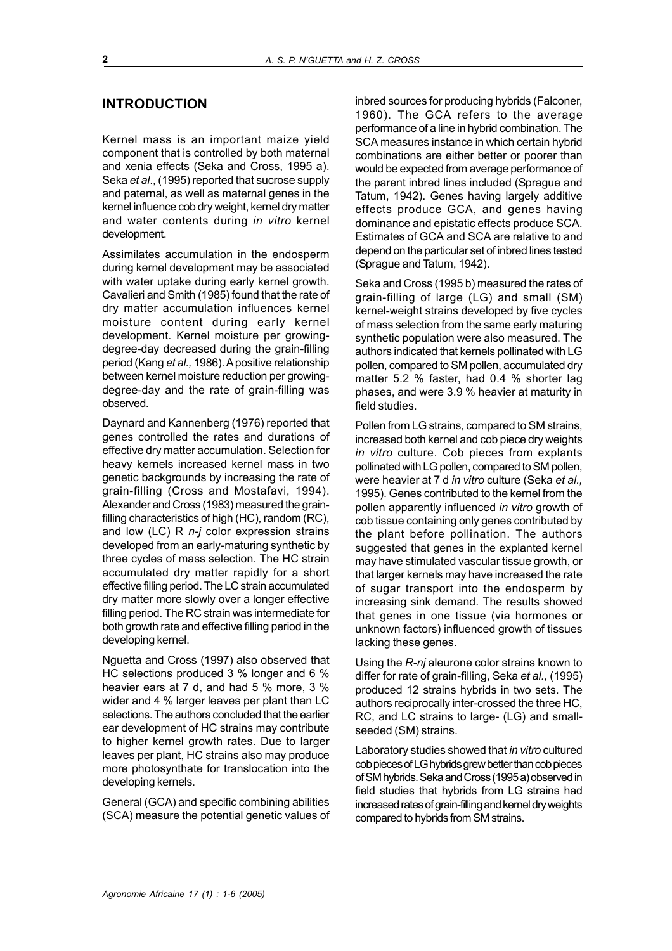# **INTRODUCTION**

Kernel mass is an important maize yield component that is controlled by both maternal and xenia effects (Seka and Cross, 1995 a). Seka *et al*., (1995) reported that sucrose supply and paternal, as well as maternal genes in the kernel influence cob dry weight, kernel dry matter and water contents during *in vitro* kernel development.

Assimilates accumulation in the endosperm during kernel development may be associated with water uptake during early kernel growth. Cavalieri and Smith (1985) found that the rate of dry matter accumulation influences kernel moisture content during early kernel development. Kernel moisture per growingdegree-day decreased during the grain-filling period (Kang *et al.,* 1986). A positive relationship between kernel moisture reduction per growingdegree-day and the rate of grain-filling was observed.

Daynard and Kannenberg (1976) reported that genes controlled the rates and durations of effective dry matter accumulation. Selection for heavy kernels increased kernel mass in two genetic backgrounds by increasing the rate of grain-filling (Cross and Mostafavi, 1994). Alexander and Cross (1983) measured the grainfilling characteristics of high (HC), random (RC), and low (LC) R *n-j* color expression strains developed from an early-maturing synthetic by three cycles of mass selection. The HC strain accumulated dry matter rapidly for a short effective filling period. The LC strain accumulated dry matter more slowly over a longer effective filling period. The RC strain was intermediate for both growth rate and effective filling period in the developing kernel.

Nguetta and Cross (1997) also observed that HC selections produced 3 % longer and 6 % heavier ears at 7 d, and had 5 % more, 3 % wider and 4 % larger leaves per plant than LC selections. The authors concluded that the earlier ear development of HC strains may contribute to higher kernel growth rates. Due to larger leaves per plant, HC strains also may produce more photosynthate for translocation into the developing kernels.

General (GCA) and specific combining abilities (SCA) measure the potential genetic values of inbred sources for producing hybrids (Falconer, 1960). The GCA refers to the average performance of a line in hybrid combination. The SCA measures instance in which certain hybrid combinations are either better or poorer than would be expected from average performance of the parent inbred lines included (Sprague and Tatum, 1942). Genes having largely additive effects produce GCA, and genes having dominance and epistatic effects produce SCA. Estimates of GCA and SCA are relative to and depend on the particular set of inbred lines tested (Sprague and Tatum, 1942).

Seka and Cross (1995 b) measured the rates of grain-filling of large (LG) and small (SM) kernel-weight strains developed by five cycles of mass selection from the same early maturing synthetic population were also measured. The authors indicated that kernels pollinated with LG pollen, compared to SM pollen, accumulated dry matter 5.2 % faster, had 0.4 % shorter lag phases, and were 3.9 % heavier at maturity in field studies.

Pollen from LG strains, compared to SM strains, increased both kernel and cob piece dry weights *in vitro* culture. Cob pieces from explants pollinated with LG pollen, compared to SM pollen, were heavier at 7 d *in vitro* culture (Seka *et al.,* 1995). Genes contributed to the kernel from the pollen apparently influenced *in vitro* growth of cob tissue containing only genes contributed by the plant before pollination. The authors suggested that genes in the explanted kernel may have stimulated vascular tissue growth, or that larger kernels may have increased the rate of sugar transport into the endosperm by increasing sink demand. The results showed that genes in one tissue (via hormones or unknown factors) influenced growth of tissues lacking these genes.

Using the *R-nj* aleurone color strains known to differ for rate of grain-filling, Seka *et al.,* (1995) produced 12 strains hybrids in two sets. The authors reciprocally inter-crossed the three HC, RC, and LC strains to large- (LG) and smallseeded (SM) strains.

Laboratory studies showed that *in vitro* cultured cob pieces of LG hybrids grew better than cob pieces of SM hybrids. Seka and Cross (1995 a) observed in field studies that hybrids from LG strains had increased rates of grain-filling and kernel dry weights compared to hybrids from SM strains.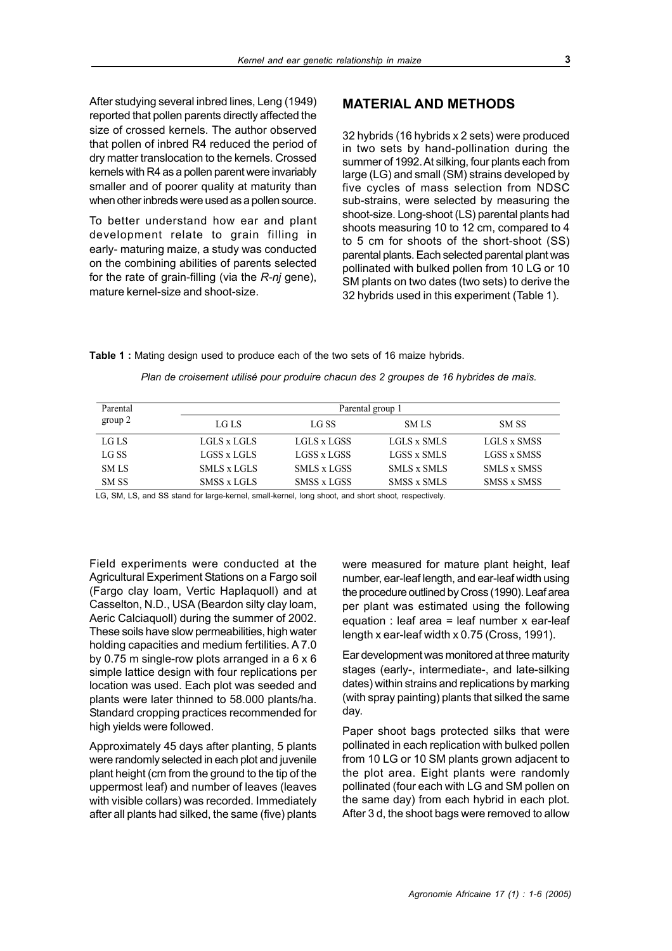After studying several inbred lines, Leng (1949) reported that pollen parents directly affected the size of crossed kernels. The author observed that pollen of inbred R4 reduced the period of dry matter translocation to the kernels. Crossed kernels with R4 as a pollen parent were invariably smaller and of poorer quality at maturity than when other inbreds were used as a pollen source.

To better understand how ear and plant development relate to grain filling in early- maturing maize, a study was conducted on the combining abilities of parents selected for the rate of grain-filling (via the *R-nj* gene), mature kernel-size and shoot-size.

# **MATERIAL AND METHODS**

32 hybrids (16 hybrids x 2 sets) were produced in two sets by hand-pollination during the summer of 1992. At silking, four plants each from large (LG) and small (SM) strains developed by five cycles of mass selection from NDSC sub-strains, were selected by measuring the shoot-size. Long-shoot (LS) parental plants had shoots measuring 10 to 12 cm, compared to 4 to 5 cm for shoots of the short-shoot (SS) parental plants. Each selected parental plant was pollinated with bulked pollen from 10 LG or 10 SM plants on two dates (two sets) to derive the 32 hybrids used in this experiment (Table 1).

#### **Table 1 :** Mating design used to produce each of the two sets of 16 maize hybrids.

| Parental    | Parental group 1 |             |                    |                    |  |  |
|-------------|------------------|-------------|--------------------|--------------------|--|--|
| group 2     | LG LS            | LG SS       | <b>SMLS</b>        | SM SS              |  |  |
| LG LS       | LGLS x LGLS      | LGLS x LGSS | LGLS x SMLS        | LGLS x SMSS        |  |  |
| LG SS       | LGSS x LGLS      | LGSS x LGSS | LGSS x SMLS        | LGSS x SMSS        |  |  |
| <b>SMLS</b> | SMLS x LGLS      | SMLS x LGSS | <b>SMLS x SMLS</b> | <b>SMLS x SMSS</b> |  |  |
| SM SS       | SMSS x LGLS      | SMSS x LGSS | <b>SMSS x SMLS</b> | SMSS x SMSS        |  |  |

*Plan de croisement utilisé pour produire chacun des 2 groupes de 16 hybrides de maïs.*

LG, SM, LS, and SS stand for large-kernel, small-kernel, long shoot, and short shoot, respectively.

Field experiments were conducted at the Agricultural Experiment Stations on a Fargo soil (Fargo clay loam, Vertic Haplaquoll) and at Casselton, N.D., USA (Beardon silty clay loam, Aeric Calciaquoll) during the summer of 2002. These soils have slow permeabilities, high water holding capacities and medium fertilities. A 7.0 by 0.75 m single-row plots arranged in a 6 x 6 simple lattice design with four replications per location was used. Each plot was seeded and plants were later thinned to 58.000 plants/ha. Standard cropping practices recommended for high yields were followed.

Approximately 45 days after planting, 5 plants were randomly selected in each plot and juvenile plant height (cm from the ground to the tip of the uppermost leaf) and number of leaves (leaves with visible collars) was recorded. Immediately after all plants had silked, the same (five) plants were measured for mature plant height, leaf number, ear-leaf length, and ear-leaf width using the procedure outlined by Cross (1990). Leaf area per plant was estimated using the following equation : leaf area = leaf number  $x$  ear-leaf length x ear-leaf width x 0.75 (Cross, 1991).

Ear development was monitored at three maturity stages (early-, intermediate-, and late-silking dates) within strains and replications by marking (with spray painting) plants that silked the same day.

Paper shoot bags protected silks that were pollinated in each replication with bulked pollen from 10 LG or 10 SM plants grown adjacent to the plot area. Eight plants were randomly pollinated (four each with LG and SM pollen on the same day) from each hybrid in each plot. After 3 d, the shoot bags were removed to allow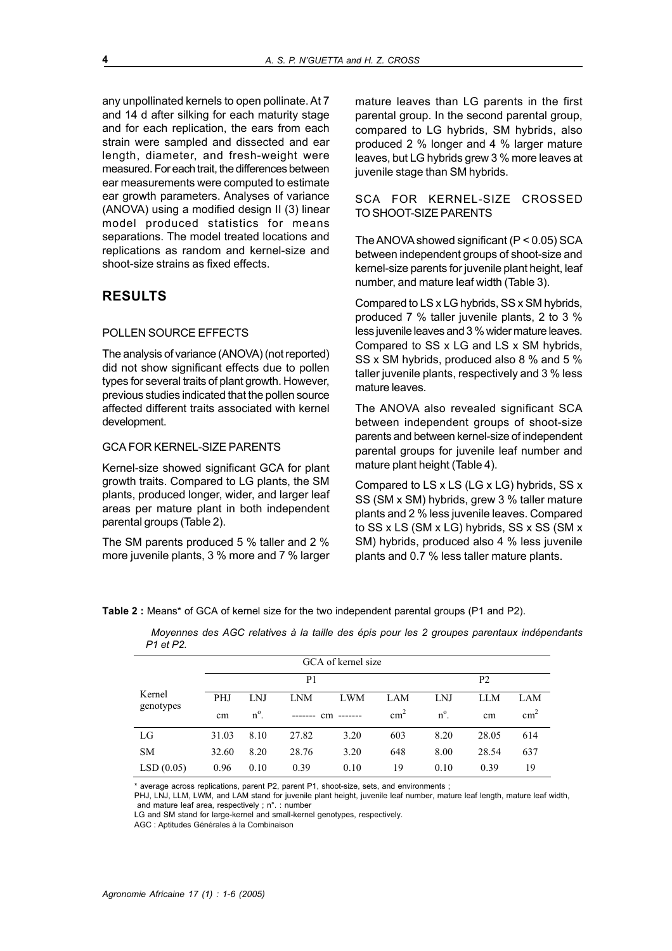any unpollinated kernels to open pollinate. At 7 and 14 d after silking for each maturity stage and for each replication, the ears from each strain were sampled and dissected and ear length, diameter, and fresh-weight were measured. For each trait, the differences between ear measurements were computed to estimate ear growth parameters. Analyses of variance (ANOVA) using a modified design II (3) linear model produced statistics for means separations. The model treated locations and replications as random and kernel-size and shoot-size strains as fixed effects.

# **RESULTS**

### POLLEN SOURCE EFFECTS

The analysis of variance (ANOVA) (not reported) did not show significant effects due to pollen types for several traits of plant growth. However, previous studies indicated that the pollen source affected different traits associated with kernel development.

#### GCA FOR KERNEL-SIZE PARENTS

Kernel-size showed significant GCA for plant growth traits. Compared to LG plants, the SM plants, produced longer, wider, and larger leaf areas per mature plant in both independent parental groups (Table 2).

The SM parents produced 5 % taller and 2 % more juvenile plants, 3 % more and 7 % larger mature leaves than LG parents in the first parental group. In the second parental group, compared to LG hybrids, SM hybrids, also produced 2 % longer and 4 % larger mature leaves, but LG hybrids grew 3 % more leaves at juvenile stage than SM hybrids.

### SCA FOR KERNEL-SIZE CROSSED TO SHOOT-SIZE PARENTS

The ANOVA showed significant (P < 0.05) SCA between independent groups of shoot-size and kernel-size parents for juvenile plant height, leaf number, and mature leaf width (Table 3).

Compared to LS x LG hybrids, SS x SM hybrids, produced 7 % taller juvenile plants, 2 to 3 % less juvenile leaves and 3 % wider mature leaves. Compared to SS x LG and LS x SM hybrids, SS x SM hybrids, produced also 8 % and 5 % taller juvenile plants, respectively and 3 % less mature leaves.

The ANOVA also revealed significant SCA between independent groups of shoot-size parents and between kernel-size of independent parental groups for juvenile leaf number and mature plant height (Table 4).

Compared to LS x LS (LG x LG) hybrids, SS x SS (SM x SM) hybrids, grew 3 % taller mature plants and 2 % less juvenile leaves. Compared to SS x LS (SM x LG) hybrids, SS x SS (SM x SM) hybrids, produced also 4 % less juvenile plants and 0.7 % less taller mature plants.

**Table 2 :** Means\* of GCA of kernel size for the two independent parental groups (P1 and P2).

| GCA of kernel size  |                |               |            |            |                |               |            |               |
|---------------------|----------------|---------------|------------|------------|----------------|---------------|------------|---------------|
|                     | P <sub>1</sub> |               |            |            | P <sub>2</sub> |               |            |               |
| Kernel<br>genotypes | <b>PHJ</b>     | <b>LNJ</b>    | <b>LNM</b> | <b>LWM</b> | LAM            | <b>LNJ</b>    | <b>LLM</b> | LAM           |
|                     | cm             | $n^{\circ}$ . |            | cm         | $\text{cm}^2$  | $n^{\circ}$ . | cm         | $\text{cm}^2$ |
| LG                  | 31.03          | 8.10          | 27.82      | 3.20       | 603            | 8.20          | 28.05      | 614           |
| <b>SM</b>           | 32.60          | 8.20          | 28.76      | 3.20       | 648            | 8.00          | 28.54      | 637           |
| LSD(0.05)           | 0.96           | 0.10          | 0.39       | 0.10       | 19             | 0.10          | 0.39       | 19            |

 *Moyennes des AGC relatives à la taille des épis pour les 2 groupes parentaux indépendants P1 et P2.*

\* average across replications, parent P2, parent P1, shoot-size, sets, and environments ;

PHJ, LNJ, LLM, LWM, and LAM stand for juvenile plant height, juvenile leaf number, mature leaf length, mature leaf width, and mature leaf area, respectively ; n°. : number

LG and SM stand for large-kernel and small-kernel genotypes, respectively.

AGC : Aptitudes Générales à la Combinaison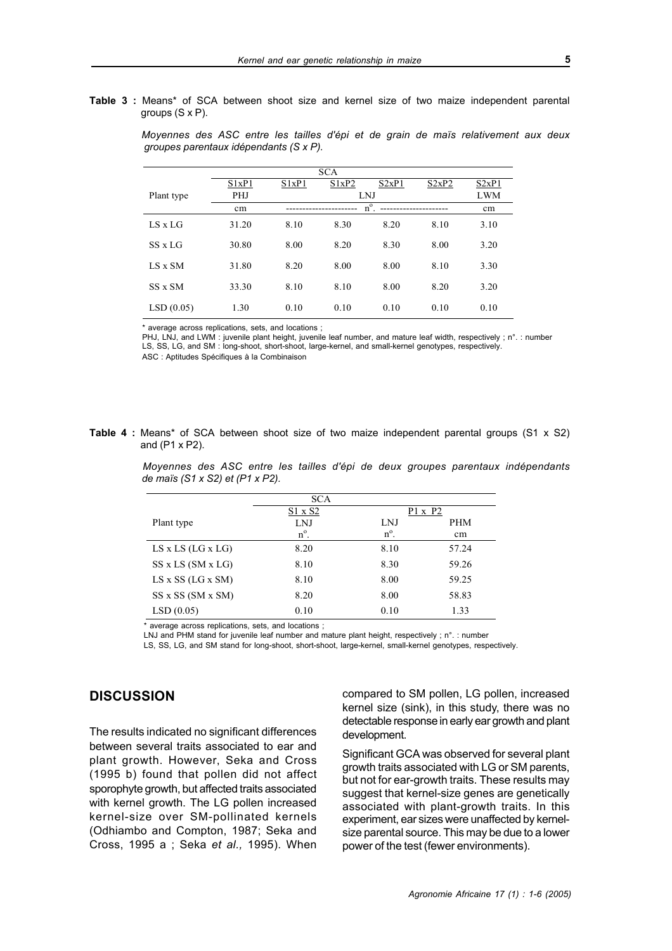**Table 3 :** Means\* of SCA between shoot size and kernel size of two maize independent parental groups (S x P).

| <b>SCA</b>     |            |       |       |       |       |            |  |
|----------------|------------|-------|-------|-------|-------|------------|--|
|                | S1xP1      | S1xP1 | S1xP2 | S2xP1 | S2xP2 | S2xP1      |  |
| Plant type     | <b>PHJ</b> |       | LNJ   |       |       | <b>LWM</b> |  |
|                | cm         |       | cm    |       |       |            |  |
| $LS \times LG$ | 31.20      | 8.10  | 8.30  | 8.20  | 8.10  | 3.10       |  |
| SS x LG        | 30.80      | 8.00  | 8.20  | 8.30  | 8.00  | 3.20       |  |
| $LS \times SM$ | 31.80      | 8.20  | 8.00  | 8.00  | 8.10  | 3.30       |  |
| SS x SM        | 33.30      | 8.10  | 8.10  | 8.00  | 8.20  | 3.20       |  |
| LSD(0.05)      | 1.30       | 0.10  | 0.10  | 0.10  | 0.10  | 0.10       |  |

 *Moyennes des ASC entre les tailles d'épi et de grain de maïs relativement aux deux groupes parentaux idépendants (S x P).*

\* average across replications, sets, and locations ;

PHJ, LNJ, and LWM : juvenile plant height, juvenile leaf number, and mature leaf width, respectively ; n°. : number LS, SS, LG, and SM : long-shoot, short-shoot, large-kernel, and small-kernel genotypes, respectively.

ASC : Aptitudes Spécifiques à la Combinaison

**Table 4 :** Means\* of SCA between shoot size of two maize independent parental groups (S1 x S2) and (P1 x P2).

> *Moyennes des ASC entre les tailles d'épi de deux groupes parentaux indépendants de maïs (S1 x S2) et (P1 x P2).*

|                             | <b>SCA</b>     |               |                |  |
|-----------------------------|----------------|---------------|----------------|--|
|                             | $S1 \times S2$ |               | $P1 \times P2$ |  |
| Plant type                  | <b>LNJ</b>     | LNJ           | <b>PHM</b>     |  |
|                             | $n^{\circ}$ .  | $n^{\circ}$ . | cm             |  |
| $LS$ x $LS$ ( $LG$ x $LG$ ) | 8.20           | 8.10          | 57.24          |  |
| $SS \times LS$ (SM $x LG$ ) | 8.10           | 8.30          | 59.26          |  |
| $LS$ x SS (LG x SM)         | 8.10           | 8.00          | 59.25          |  |
| SS x SS (SM x SM)           | 8.20           | 8.00          | 58.83          |  |
| LSD(0.05)                   | 0.10           | 0.10          | 1.33           |  |
|                             |                |               |                |  |

\* average across replications, sets, and locations ;

LNJ and PHM stand for juvenile leaf number and mature plant height, respectively ; n°. : number

LS, SS, LG, and SM stand for long-shoot, short-shoot, large-kernel, small-kernel genotypes, respectively.

### **DISCUSSION**

The results indicated no significant differences between several traits associated to ear and plant growth. However, Seka and Cross (1995 b) found that pollen did not affect sporophyte growth, but affected traits associated with kernel growth. The LG pollen increased kernel-size over SM-pollinated kernels (Odhiambo and Compton, 1987; Seka and Cross, 1995 a ; Seka *et al.,* 1995). When compared to SM pollen, LG pollen, increased kernel size (sink), in this study, there was no detectable response in early ear growth and plant development.

Significant GCA was observed for several plant growth traits associated with LG or SM parents, but not for ear-growth traits. These results may suggest that kernel-size genes are genetically associated with plant-growth traits. In this experiment, ear sizes were unaffected by kernelsize parental source. This may be due to a lower power of the test (fewer environments).